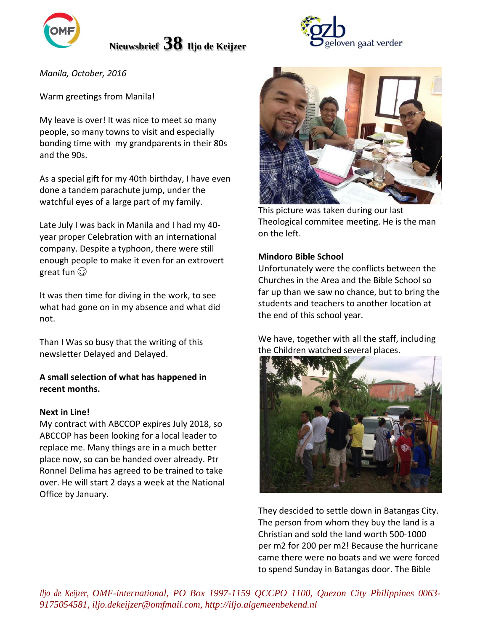

# **Nieuwsbrief 38 Iljo de Keijzer**

*Manila, October, 2016*

Warm greetings from Manila!

My leave is over! It was nice to meet so many people, so many towns to visit and especially bonding time with my grandparents in their 80s and the 90s.

As a special gift for my 40th birthday, I have even done a tandem parachute jump, under the watchful eyes of a large part of my family.

Late July I was back in Manila and I had my 40 year proper Celebration with an international company. Despite a typhoon, there were still enough people to make it even for an extrovert great fun  $\mathbb{Q}$ 

It was then time for diving in the work, to see what had gone on in my absence and what did not.

Than I Was so busy that the writing of this newsletter Delayed and Delayed.

### **A small selection of what has happened in recent months.**

#### **Next in Line!**

My contract with ABCCOP expires July 2018, so ABCCOP has been looking for a local leader to replace me. Many things are in a much better place now, so can be handed over already. Ptr Ronnel Delima has agreed to be trained to take over. He will start 2 days a week at the National Office by January.





This picture was taken during our last Theological commitee meeting. He is the man on the left.

### **Mindoro Bible School**

Unfortunately were the conflicts between the Churches in the Area and the Bible School so far up than we saw no chance, but to bring the students and teachers to another location at the end of this school year.

We have, together with all the staff, including the Children watched several places.



They descided to settle down in Batangas City. The person from whom they buy the land is a Christian and sold the land worth 500-1000 per m2 for 200 per m2! Because the hurricane came there were no boats and we were forced to spend Sunday in Batangas door. The Bible

*Iljo de Keijzer, OMF-international, PO Box 1997-1159 QCCPO 1100, Quezon City Philippines 0063- 9175054581, iljo.dekeijzer@omfmail.com, http://iljo.algemeenbekend.nl*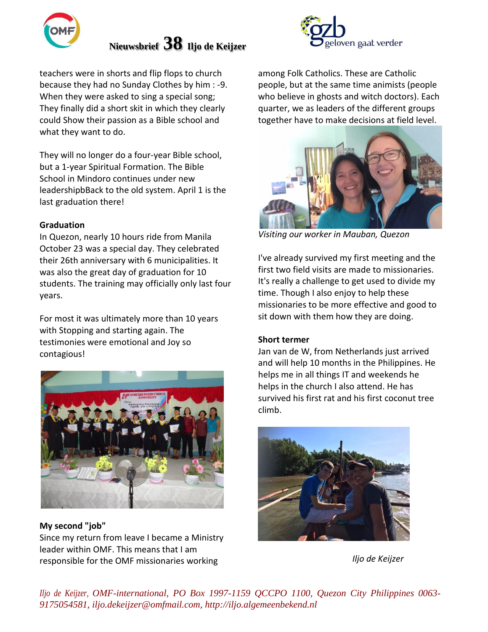

## **Nieuwsbrief 38 Iljo de Keijzer**



teachers were in shorts and flip flops to church because they had no Sunday Clothes by him : -9. When they were asked to sing a special song; They finally did a short skit in which they clearly could Show their passion as a Bible school and what they want to do.

They will no longer do a four-year Bible school, but a 1-year Spiritual Formation. The Bible School in Mindoro continues under new leadershipbBack to the old system. April 1 is the last graduation there!

### **Graduation**

In Quezon, nearly 10 hours ride from Manila October 23 was a special day. They celebrated their 26th anniversary with 6 municipalities. It was also the great day of graduation for 10 students. The training may officially only last four years.

For most it was ultimately more than 10 years with Stopping and starting again. The testimonies were emotional and Joy so contagious!



**My second "job"** Since my return from leave I became a Ministry leader within OMF. This means that I am responsible for the OMF missionaries working

among Folk Catholics. These are Catholic people, but at the same time animists (people who believe in ghosts and witch doctors). Each quarter, we as leaders of the different groups together have to make decisions at field level.



*Visiting our worker in Mauban, Quezon*

I've already survived my first meeting and the first two field visits are made to missionaries. It's really a challenge to get used to divide my time. Though I also enjoy to help these missionaries to be more effective and good to sit down with them how they are doing.

### **Short termer**

Jan van de W, from Netherlands just arrived and will help 10 months in the Philippines. He helps me in all things IT and weekends he helps in the church I also attend. He has survived his first rat and his first coconut tree climb.



*Iljo de Keijzer*

*Iljo de Keijzer, OMF-international, PO Box 1997-1159 QCCPO 1100, Quezon City Philippines 0063- 9175054581, iljo.dekeijzer@omfmail.com, http://iljo.algemeenbekend.nl*